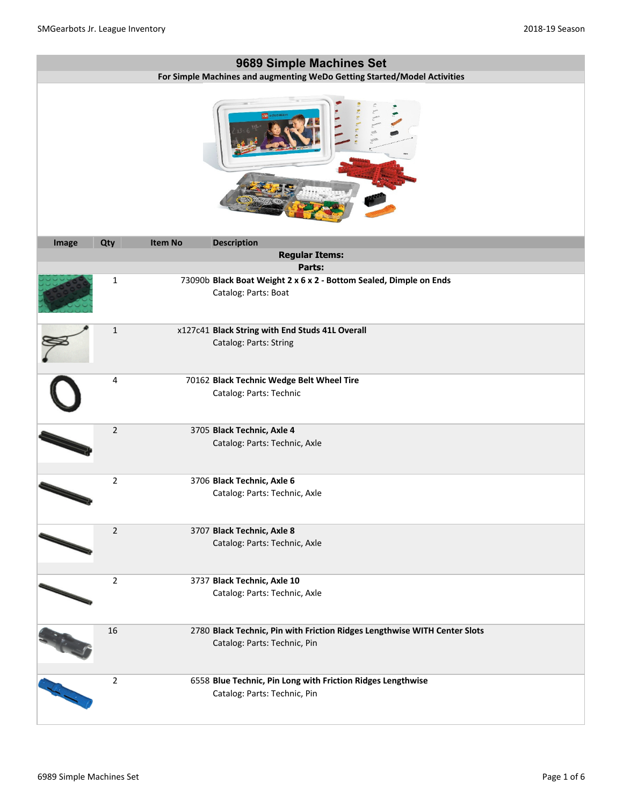|       |                |                | 9689 Simple Machines Set                                                                                  |
|-------|----------------|----------------|-----------------------------------------------------------------------------------------------------------|
|       |                |                | For Simple Machines and augmenting WeDo Getting Started/Model Activities                                  |
|       |                |                |                                                                                                           |
| Image | Qty            | <b>Item No</b> | <b>Description</b>                                                                                        |
|       |                |                | <b>Regular Items:</b>                                                                                     |
|       |                |                | Parts:                                                                                                    |
|       | $\mathbf{1}$   |                | 73090b Black Boat Weight 2 x 6 x 2 - Bottom Sealed, Dimple on Ends<br>Catalog: Parts: Boat                |
|       | $\mathbf 1$    |                | x127c41 Black String with End Studs 41L Overall<br>Catalog: Parts: String                                 |
|       | 4              |                | 70162 Black Technic Wedge Belt Wheel Tire<br>Catalog: Parts: Technic                                      |
|       | $\mathbf 2$    |                | 3705 Black Technic, Axle 4<br>Catalog: Parts: Technic, Axle                                               |
|       | $\overline{2}$ |                | 3706 Black Technic, Axle 6<br>Catalog: Parts: Technic, Axle                                               |
|       | $\overline{2}$ |                | 3707 Black Technic, Axle 8<br>Catalog: Parts: Technic, Axle                                               |
|       | $\overline{2}$ |                | 3737 Black Technic, Axle 10<br>Catalog: Parts: Technic, Axle                                              |
|       | 16             |                | 2780 Black Technic, Pin with Friction Ridges Lengthwise WITH Center Slots<br>Catalog: Parts: Technic, Pin |
|       | $\overline{2}$ |                | 6558 Blue Technic, Pin Long with Friction Ridges Lengthwise<br>Catalog: Parts: Technic, Pin               |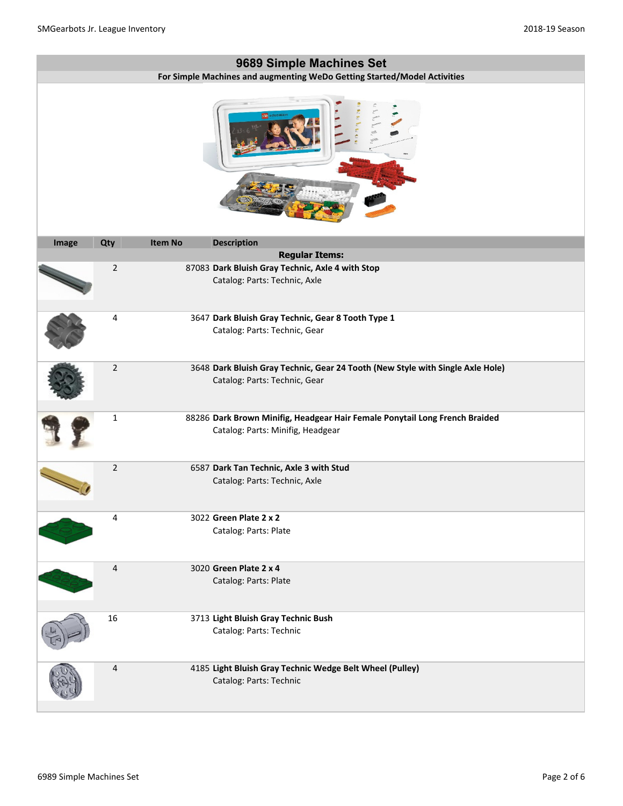|       |                |                | 9689 Simple Machines Set                                                                                         |
|-------|----------------|----------------|------------------------------------------------------------------------------------------------------------------|
|       |                |                | For Simple Machines and augmenting WeDo Getting Started/Model Activities                                         |
|       |                |                |                                                                                                                  |
| Image | Qty            | <b>Item No</b> | <b>Description</b>                                                                                               |
|       |                |                | <b>Regular Items:</b>                                                                                            |
|       | $\overline{2}$ |                | 87083 Dark Bluish Gray Technic, Axle 4 with Stop<br>Catalog: Parts: Technic, Axle                                |
|       | 4              |                | 3647 Dark Bluish Gray Technic, Gear 8 Tooth Type 1<br>Catalog: Parts: Technic, Gear                              |
|       | $\sqrt{2}$     |                | 3648 Dark Bluish Gray Technic, Gear 24 Tooth (New Style with Single Axle Hole)<br>Catalog: Parts: Technic, Gear  |
|       | $\mathbf{1}$   |                | 88286 Dark Brown Minifig, Headgear Hair Female Ponytail Long French Braided<br>Catalog: Parts: Minifig, Headgear |
|       | $\overline{2}$ |                | 6587 Dark Tan Technic, Axle 3 with Stud<br>Catalog: Parts: Technic, Axle                                         |
|       | 4              |                | 3022 Green Plate 2 x 2<br>Catalog: Parts: Plate                                                                  |
|       | 4              |                | 3020 Green Plate 2 x 4<br>Catalog: Parts: Plate                                                                  |
|       | 16             |                | 3713 Light Bluish Gray Technic Bush<br>Catalog: Parts: Technic                                                   |
|       | $\overline{4}$ |                | 4185 Light Bluish Gray Technic Wedge Belt Wheel (Pulley)<br>Catalog: Parts: Technic                              |

н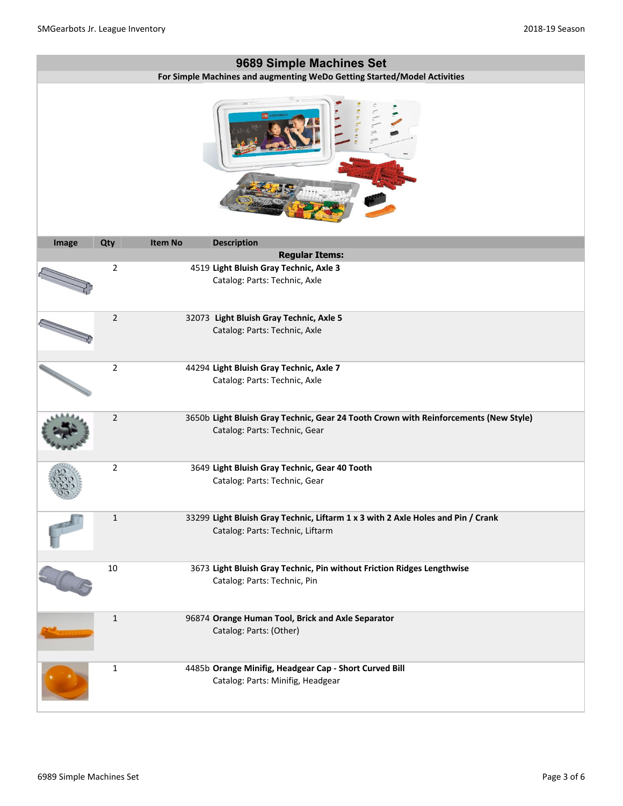|       |                |                | 9689 Simple Machines Set                                                                                              |
|-------|----------------|----------------|-----------------------------------------------------------------------------------------------------------------------|
|       |                |                | For Simple Machines and augmenting WeDo Getting Started/Model Activities                                              |
|       |                |                |                                                                                                                       |
| Image | Qty            | <b>Item No</b> | <b>Description</b>                                                                                                    |
|       |                |                | <b>Regular Items:</b>                                                                                                 |
|       | $\overline{2}$ |                | 4519 Light Bluish Gray Technic, Axle 3<br>Catalog: Parts: Technic, Axle                                               |
|       | $\overline{2}$ |                | 32073 Light Bluish Gray Technic, Axle 5<br>Catalog: Parts: Technic, Axle                                              |
|       | $\overline{2}$ |                | 44294 Light Bluish Gray Technic, Axle 7<br>Catalog: Parts: Technic, Axle                                              |
|       | $\overline{2}$ |                | 3650b Light Bluish Gray Technic, Gear 24 Tooth Crown with Reinforcements (New Style)<br>Catalog: Parts: Technic, Gear |
|       | $\overline{2}$ |                | 3649 Light Bluish Gray Technic, Gear 40 Tooth<br>Catalog: Parts: Technic, Gear                                        |
|       | $\mathbf{1}$   |                | 33299 Light Bluish Gray Technic, Liftarm 1 x 3 with 2 Axle Holes and Pin / Crank<br>Catalog: Parts: Technic, Liftarm  |
|       | $10\,$         |                | 3673 Light Bluish Gray Technic, Pin without Friction Ridges Lengthwise<br>Catalog: Parts: Technic, Pin                |
|       | $1\,$          |                | 96874 Orange Human Tool, Brick and Axle Separator<br>Catalog: Parts: (Other)                                          |
|       | $\mathbf{1}$   |                | 4485b Orange Minifig, Headgear Cap - Short Curved Bill<br>Catalog: Parts: Minifig, Headgear                           |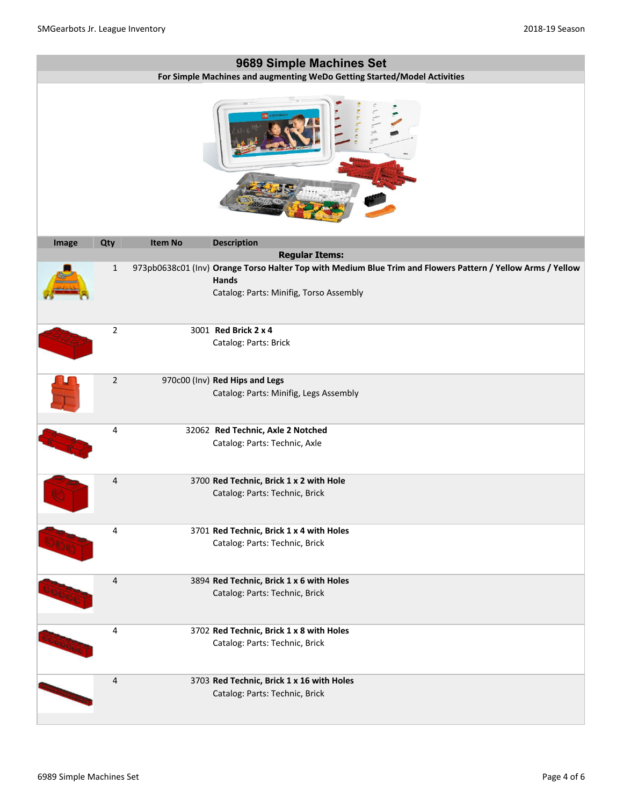|       |                |                | 9689 Simple Machines Set                                                                                                                                        |
|-------|----------------|----------------|-----------------------------------------------------------------------------------------------------------------------------------------------------------------|
|       |                |                | For Simple Machines and augmenting WeDo Getting Started/Model Activities                                                                                        |
|       |                |                |                                                                                                                                                                 |
| Image | Qty            | <b>Item No</b> | <b>Description</b>                                                                                                                                              |
|       |                |                | <b>Regular Items:</b>                                                                                                                                           |
|       | 1              |                | 973pb0638c01 (Inv) Orange Torso Halter Top with Medium Blue Trim and Flowers Pattern / Yellow Arms / Yellow<br>Hands<br>Catalog: Parts: Minifig, Torso Assembly |
|       | $\overline{2}$ |                | 3001 Red Brick 2 x 4                                                                                                                                            |
|       |                |                | Catalog: Parts: Brick                                                                                                                                           |
|       | $\overline{2}$ |                | 970c00 (Inv) Red Hips and Legs<br>Catalog: Parts: Minifig, Legs Assembly                                                                                        |
|       | 4              |                | 32062 Red Technic, Axle 2 Notched<br>Catalog: Parts: Technic, Axle                                                                                              |
|       | 4              |                | 3700 Red Technic, Brick 1 x 2 with Hole<br>Catalog: Parts: Technic, Brick                                                                                       |
|       | 4              |                | 3701 Red Technic, Brick 1 x 4 with Holes<br>Catalog: Parts: Technic, Brick                                                                                      |
|       | 4              |                | 3894 Red Technic, Brick 1 x 6 with Holes<br>Catalog: Parts: Technic, Brick                                                                                      |
|       | 4              |                | 3702 Red Technic, Brick 1 x 8 with Holes<br>Catalog: Parts: Technic, Brick                                                                                      |
|       | $\overline{4}$ |                | 3703 Red Technic, Brick 1 x 16 with Holes<br>Catalog: Parts: Technic, Brick                                                                                     |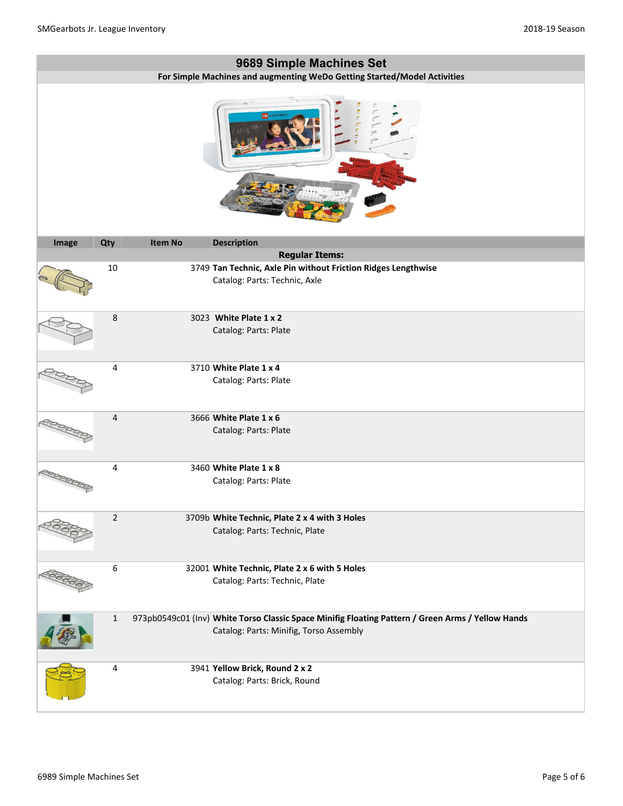|       |                |                | 9689 Simple Machines Set<br>For Simple Machines and augmenting WeDo Getting Started/Model Activities                                         |
|-------|----------------|----------------|----------------------------------------------------------------------------------------------------------------------------------------------|
|       |                |                |                                                                                                                                              |
| Image | Qty            | <b>Item No</b> | <b>Description</b>                                                                                                                           |
|       |                |                | <b>Regular Items:</b>                                                                                                                        |
|       | 10             |                | 3749 Tan Technic, Axle Pin without Friction Ridges Lengthwise<br>Catalog: Parts: Technic, Axle                                               |
|       | 8              |                | 3023 White Plate 1 x 2<br>Catalog: Parts: Plate                                                                                              |
|       | 4              |                | 3710 White Plate 1 x 4<br>Catalog: Parts: Plate                                                                                              |
|       | $\overline{4}$ |                | 3666 White Plate 1 x 6<br>Catalog: Parts: Plate                                                                                              |
|       | 4              |                | 3460 White Plate 1 x 8<br>Catalog: Parts: Plate                                                                                              |
|       | $\overline{2}$ |                | 3709b White Technic, Plate 2 x 4 with 3 Holes<br>Catalog: Parts: Technic, Plate                                                              |
|       | 6              |                | 32001 White Technic, Plate 2 x 6 with 5 Holes<br>Catalog: Parts: Technic, Plate                                                              |
|       | $\mathbf{1}$   |                | 973pb0549c01 (Inv) White Torso Classic Space Minifig Floating Pattern / Green Arms / Yellow Hands<br>Catalog: Parts: Minifig, Torso Assembly |
|       | 4              |                | 3941 Yellow Brick, Round 2 x 2<br>Catalog: Parts: Brick, Round                                                                               |